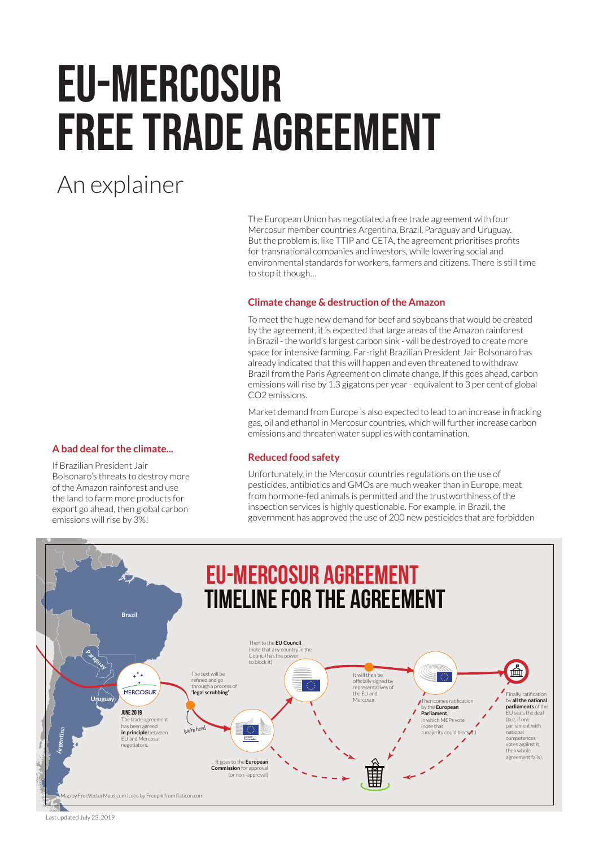# EU-Mercosur Free Trade Agreement

# An explainer

The European Union has negotiated a free trade agreement with four Mercosur member countries Argentina, Brazil, Paraguay and Uruguay. But the problem is, like TTIP and CETA, the agreement prioritises profits for transnational companies and investors, while lowering social and environmental standards for workers, farmers and citizens. There is still time to stop it though…

# **Climate change & destruction of the Amazon**

To meet the huge new demand for beef and soybeans that would be created by the agreement, it is expected that large areas of the Amazon rainforest in Brazil - the world's largest carbon sink - will be destroyed to create more space for intensive farming. Far-right Brazilian President Jair Bolsonaro has already indicated that this will happen and even threatened to withdraw Brazil from the Paris Agreement on climate change. If this goes ahead, carbon emissions will rise by 1.3 gigatons per year - equivalent to 3 per cent of global CO2 emissions.

Market demand from Europe is also expected to lead to an increase in fracking gas, oil and ethanol in Mercosur countries, which will further increase carbon emissions and threaten water supplies with contamination.

# **A bad deal for the climate...**

If Brazilian President Jair Bolsonaro's threats to destroy more of the Amazon rainforest and use the land to farm more products for export go ahead, then global carbon emissions will rise by 3%!



Unfortunately, in the Mercosur countries regulations on the use of pesticides, antibiotics and GMOs are much weaker than in Europe, meat from hormone-fed animals is permitted and the trustworthiness of the inspection services is highly questionable. For example, in Brazil, the government has approved the use of 200 new pesticides that are forbidden



Last updated July 23, 2019